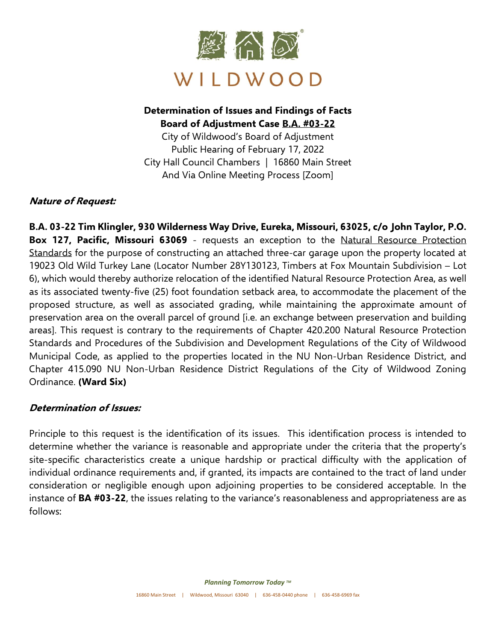

# **Determination of Issues and Findings of Facts Board of Adjustment Case B.A. #03-22**

City of Wildwood's Board of Adjustment Public Hearing of February 17, 2022 City Hall Council Chambers | 16860 Main Street And Via Online Meeting Process [Zoom]

### **Nature of Request:**

**B.A. 03-22 Tim Klingler, 930 Wilderness Way Drive, Eureka, Missouri, 63025, c/o John Taylor, P.O. Box 127, Pacific, Missouri 63069** - requests an exception to the Natural Resource Protection Standards for the purpose of constructing an attached three-car garage upon the property located at 19023 Old Wild Turkey Lane (Locator Number 28Y130123, Timbers at Fox Mountain Subdivision – Lot 6), which would thereby authorize relocation of the identified Natural Resource Protection Area, as well as its associated twenty-five (25) foot foundation setback area, to accommodate the placement of the proposed structure, as well as associated grading, while maintaining the approximate amount of preservation area on the overall parcel of ground [i.e. an exchange between preservation and building areas]. This request is contrary to the requirements of Chapter 420.200 Natural Resource Protection Standards and Procedures of the Subdivision and Development Regulations of the City of Wildwood Municipal Code, as applied to the properties located in the NU Non-Urban Residence District, and Chapter 415.090 NU Non-Urban Residence District Regulations of the City of Wildwood Zoning Ordinance. **(Ward Six)**

### **Determination of Issues:**

Principle to this request is the identification of its issues. This identification process is intended to determine whether the variance is reasonable and appropriate under the criteria that the property's site-specific characteristics create a unique hardship or practical difficulty with the application of individual ordinance requirements and, if granted, its impacts are contained to the tract of land under consideration or negligible enough upon adjoining properties to be considered acceptable. In the instance of **BA #03-22**, the issues relating to the variance's reasonableness and appropriateness are as follows: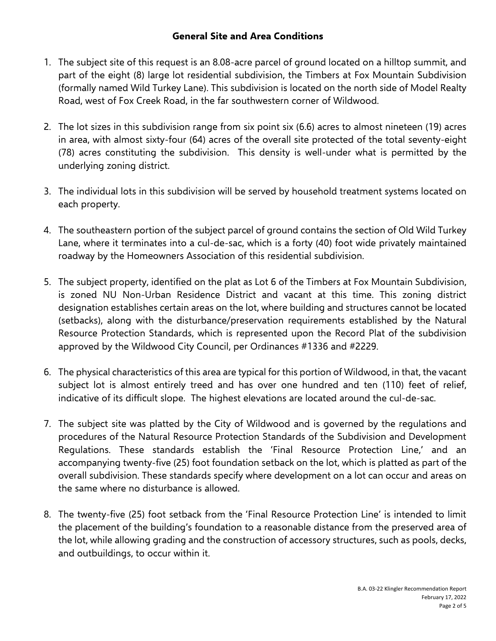### **General Site and Area Conditions**

- 1. The subject site of this request is an 8.08-acre parcel of ground located on a hilltop summit, and part of the eight (8) large lot residential subdivision, the Timbers at Fox Mountain Subdivision (formally named Wild Turkey Lane). This subdivision is located on the north side of Model Realty Road, west of Fox Creek Road, in the far southwestern corner of Wildwood.
- 2. The lot sizes in this subdivision range from six point six (6.6) acres to almost nineteen (19) acres in area, with almost sixty-four (64) acres of the overall site protected of the total seventy-eight (78) acres constituting the subdivision. This density is well-under what is permitted by the underlying zoning district.
- 3. The individual lots in this subdivision will be served by household treatment systems located on each property.
- 4. The southeastern portion of the subject parcel of ground contains the section of Old Wild Turkey Lane, where it terminates into a cul-de-sac, which is a forty (40) foot wide privately maintained roadway by the Homeowners Association of this residential subdivision.
- 5. The subject property, identified on the plat as Lot 6 of the Timbers at Fox Mountain Subdivision, is zoned NU Non-Urban Residence District and vacant at this time. This zoning district designation establishes certain areas on the lot, where building and structures cannot be located (setbacks), along with the disturbance/preservation requirements established by the Natural Resource Protection Standards, which is represented upon the Record Plat of the subdivision approved by the Wildwood City Council, per Ordinances #1336 and #2229.
- 6. The physical characteristics of this area are typical for this portion of Wildwood, in that, the vacant subject lot is almost entirely treed and has over one hundred and ten (110) feet of relief, indicative of its difficult slope. The highest elevations are located around the cul-de-sac.
- 7. The subject site was platted by the City of Wildwood and is governed by the regulations and procedures of the Natural Resource Protection Standards of the Subdivision and Development Regulations. These standards establish the 'Final Resource Protection Line,' and an accompanying twenty-five (25) foot foundation setback on the lot, which is platted as part of the overall subdivision. These standards specify where development on a lot can occur and areas on the same where no disturbance is allowed.
- 8. The twenty-five (25) foot setback from the 'Final Resource Protection Line' is intended to limit the placement of the building's foundation to a reasonable distance from the preserved area of the lot, while allowing grading and the construction of accessory structures, such as pools, decks, and outbuildings, to occur within it.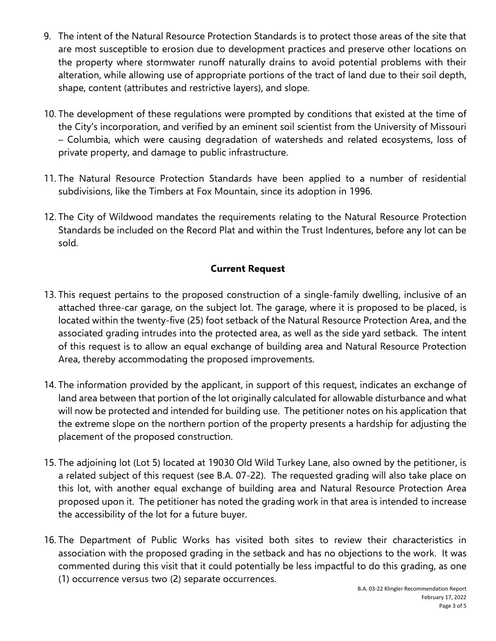- 9. The intent of the Natural Resource Protection Standards is to protect those areas of the site that are most susceptible to erosion due to development practices and preserve other locations on the property where stormwater runoff naturally drains to avoid potential problems with their alteration, while allowing use of appropriate portions of the tract of land due to their soil depth, shape, content (attributes and restrictive layers), and slope.
- 10. The development of these regulations were prompted by conditions that existed at the time of the City's incorporation, and verified by an eminent soil scientist from the University of Missouri – Columbia, which were causing degradation of watersheds and related ecosystems, loss of private property, and damage to public infrastructure.
- 11. The Natural Resource Protection Standards have been applied to a number of residential subdivisions, like the Timbers at Fox Mountain, since its adoption in 1996.
- 12. The City of Wildwood mandates the requirements relating to the Natural Resource Protection Standards be included on the Record Plat and within the Trust Indentures, before any lot can be sold.

## **Current Request**

- 13. This request pertains to the proposed construction of a single-family dwelling, inclusive of an attached three-car garage, on the subject lot. The garage, where it is proposed to be placed, is located within the twenty-five (25) foot setback of the Natural Resource Protection Area, and the associated grading intrudes into the protected area, as well as the side yard setback. The intent of this request is to allow an equal exchange of building area and Natural Resource Protection Area, thereby accommodating the proposed improvements.
- 14. The information provided by the applicant, in support of this request, indicates an exchange of land area between that portion of the lot originally calculated for allowable disturbance and what will now be protected and intended for building use. The petitioner notes on his application that the extreme slope on the northern portion of the property presents a hardship for adjusting the placement of the proposed construction.
- 15. The adjoining lot (Lot 5) located at 19030 Old Wild Turkey Lane, also owned by the petitioner, is a related subject of this request (see B.A. 07-22). The requested grading will also take place on this lot, with another equal exchange of building area and Natural Resource Protection Area proposed upon it. The petitioner has noted the grading work in that area is intended to increase the accessibility of the lot for a future buyer.
- 16. The Department of Public Works has visited both sites to review their characteristics in association with the proposed grading in the setback and has no objections to the work. It was commented during this visit that it could potentially be less impactful to do this grading, as one (1) occurrence versus two (2) separate occurrences.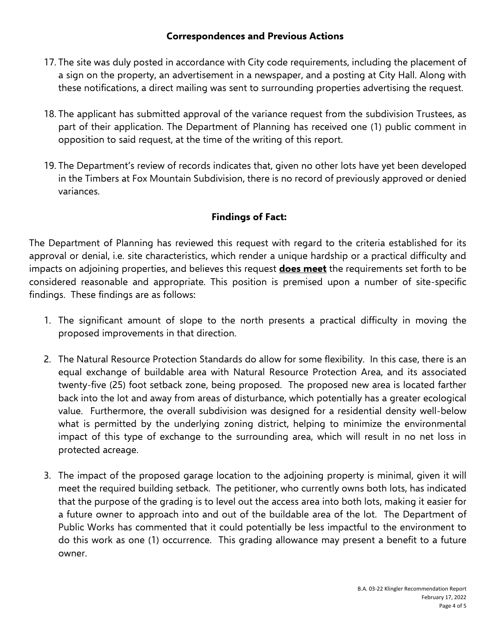### **Correspondences and Previous Actions**

- 17. The site was duly posted in accordance with City code requirements, including the placement of a sign on the property, an advertisement in a newspaper, and a posting at City Hall. Along with these notifications, a direct mailing was sent to surrounding properties advertising the request.
- 18. The applicant has submitted approval of the variance request from the subdivision Trustees, as part of their application. The Department of Planning has received one (1) public comment in opposition to said request, at the time of the writing of this report.
- 19. The Department's review of records indicates that, given no other lots have yet been developed in the Timbers at Fox Mountain Subdivision, there is no record of previously approved or denied variances.

## **Findings of Fact:**

The Department of Planning has reviewed this request with regard to the criteria established for its approval or denial, i.e. site characteristics, which render a unique hardship or a practical difficulty and impacts on adjoining properties, and believes this request **does meet** the requirements set forth to be considered reasonable and appropriate. This position is premised upon a number of site-specific findings. These findings are as follows:

- 1. The significant amount of slope to the north presents a practical difficulty in moving the proposed improvements in that direction.
- 2. The Natural Resource Protection Standards do allow for some flexibility. In this case, there is an equal exchange of buildable area with Natural Resource Protection Area, and its associated twenty-five (25) foot setback zone, being proposed. The proposed new area is located farther back into the lot and away from areas of disturbance, which potentially has a greater ecological value. Furthermore, the overall subdivision was designed for a residential density well-below what is permitted by the underlying zoning district, helping to minimize the environmental impact of this type of exchange to the surrounding area, which will result in no net loss in protected acreage.
- 3. The impact of the proposed garage location to the adjoining property is minimal, given it will meet the required building setback. The petitioner, who currently owns both lots, has indicated that the purpose of the grading is to level out the access area into both lots, making it easier for a future owner to approach into and out of the buildable area of the lot. The Department of Public Works has commented that it could potentially be less impactful to the environment to do this work as one (1) occurrence. This grading allowance may present a benefit to a future owner.